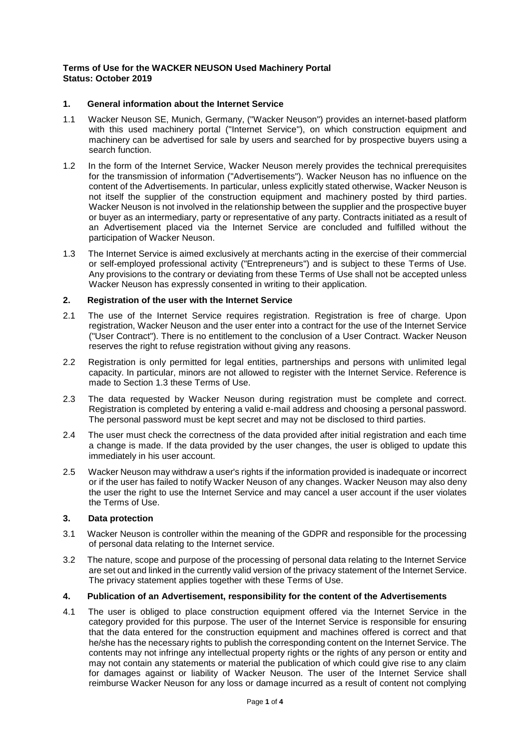### **Terms of Use for the WACKER NEUSON Used Machinery Portal Status: October 2019**

# **1. General information about the Internet Service**

- 1.1 Wacker Neuson SE, Munich, Germany, ("Wacker Neuson") provides an internet-based platform with this used machinery portal ("Internet Service"), on which construction equipment and machinery can be advertised for sale by users and searched for by prospective buyers using a search function.
- 1.2 In the form of the Internet Service, Wacker Neuson merely provides the technical prerequisites for the transmission of information ("Advertisements"). Wacker Neuson has no influence on the content of the Advertisements. In particular, unless explicitly stated otherwise, Wacker Neuson is not itself the supplier of the construction equipment and machinery posted by third parties. Wacker Neuson is not involved in the relationship between the supplier and the prospective buyer or buyer as an intermediary, party or representative of any party. Contracts initiated as a result of an Advertisement placed via the Internet Service are concluded and fulfilled without the participation of Wacker Neuson.
- <span id="page-0-0"></span>1.3 The Internet Service is aimed exclusively at merchants acting in the exercise of their commercial or self-employed professional activity ("Entrepreneurs") and is subject to these Terms of Use. Any provisions to the contrary or deviating from these Terms of Use shall not be accepted unless Wacker Neuson has expressly consented in writing to their application.

### **2. Registration of the user with the Internet Service**

- 2.1 The use of the Internet Service requires registration. Registration is free of charge. Upon registration, Wacker Neuson and the user enter into a contract for the use of the Internet Service ("User Contract"). There is no entitlement to the conclusion of a User Contract. Wacker Neuson reserves the right to refuse registration without giving any reasons.
- 2.2 Registration is only permitted for legal entities, partnerships and persons with unlimited legal capacity. In particular, minors are not allowed to register with the Internet Service. Reference is made to Section [1.3](#page-0-0) these Terms of Use.
- 2.3 The data requested by Wacker Neuson during registration must be complete and correct. Registration is completed by entering a valid e-mail address and choosing a personal password. The personal password must be kept secret and may not be disclosed to third parties.
- 2.4 The user must check the correctness of the data provided after initial registration and each time a change is made. If the data provided by the user changes, the user is obliged to update this immediately in his user account.
- 2.5 Wacker Neuson may withdraw a user's rights if the information provided is inadequate or incorrect or if the user has failed to notify Wacker Neuson of any changes. Wacker Neuson may also deny the user the right to use the Internet Service and may cancel a user account if the user violates the Terms of Use.

### **3. Data protection**

- 3.1 Wacker Neuson is controller within the meaning of the GDPR and responsible for the processing of personal data relating to the Internet service.
- 3.2 The nature, scope and purpose of the processing of personal data relating to the Internet Service are set out and linked in the currently valid version of the privacy statement of the Internet Service. The privacy statement applies together with these Terms of Use.

### **4. Publication of an Advertisement, responsibility for the content of the Advertisements**

4.1 The user is obliged to place construction equipment offered via the Internet Service in the category provided for this purpose. The user of the Internet Service is responsible for ensuring that the data entered for the construction equipment and machines offered is correct and that he/she has the necessary rights to publish the corresponding content on the Internet Service. The contents may not infringe any intellectual property rights or the rights of any person or entity and may not contain any statements or material the publication of which could give rise to any claim for damages against or liability of Wacker Neuson. The user of the Internet Service shall reimburse Wacker Neuson for any loss or damage incurred as a result of content not complying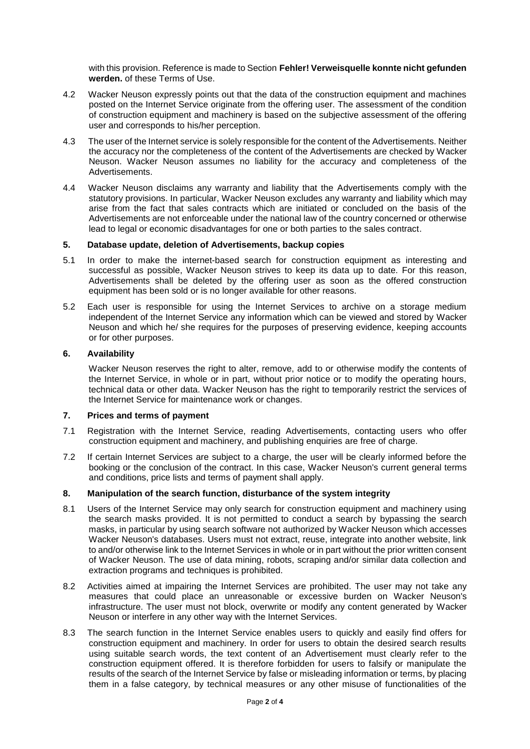with this provision. Reference is made to Section **Fehler! Verweisquelle konnte nicht gefunden werden.** of these Terms of Use.

- 4.2 Wacker Neuson expressly points out that the data of the construction equipment and machines posted on the Internet Service originate from the offering user. The assessment of the condition of construction equipment and machinery is based on the subjective assessment of the offering user and corresponds to his/her perception.
- 4.3 The user of the Internet service is solely responsible for the content of the Advertisements. Neither the accuracy nor the completeness of the content of the Advertisements are checked by Wacker Neuson. Wacker Neuson assumes no liability for the accuracy and completeness of the Advertisements.
- 4.4 Wacker Neuson disclaims any warranty and liability that the Advertisements comply with the statutory provisions. In particular, Wacker Neuson excludes any warranty and liability which may arise from the fact that sales contracts which are initiated or concluded on the basis of the Advertisements are not enforceable under the national law of the country concerned or otherwise lead to legal or economic disadvantages for one or both parties to the sales contract.

### **5. Database update, deletion of Advertisements, backup copies**

- 5.1 In order to make the internet-based search for construction equipment as interesting and successful as possible, Wacker Neuson strives to keep its data up to date. For this reason, Advertisements shall be deleted by the offering user as soon as the offered construction equipment has been sold or is no longer available for other reasons.
- 5.2 Each user is responsible for using the Internet Services to archive on a storage medium independent of the Internet Service any information which can be viewed and stored by Wacker Neuson and which he/ she requires for the purposes of preserving evidence, keeping accounts or for other purposes.

### **6. Availability**

Wacker Neuson reserves the right to alter, remove, add to or otherwise modify the contents of the Internet Service, in whole or in part, without prior notice or to modify the operating hours, technical data or other data. Wacker Neuson has the right to temporarily restrict the services of the Internet Service for maintenance work or changes.

#### **7. Prices and terms of payment**

- 7.1 Registration with the Internet Service, reading Advertisements, contacting users who offer construction equipment and machinery, and publishing enquiries are free of charge.
- 7.2 If certain Internet Services are subject to a charge, the user will be clearly informed before the booking or the conclusion of the contract. In this case, Wacker Neuson's current general terms and conditions, price lists and terms of payment shall apply.

# **8. Manipulation of the search function, disturbance of the system integrity**

- 8.1 Users of the Internet Service may only search for construction equipment and machinery using the search masks provided. It is not permitted to conduct a search by bypassing the search masks, in particular by using search software not authorized by Wacker Neuson which accesses Wacker Neuson's databases. Users must not extract, reuse, integrate into another website, link to and/or otherwise link to the Internet Services in whole or in part without the prior written consent of Wacker Neuson. The use of data mining, robots, scraping and/or similar data collection and extraction programs and techniques is prohibited.
- 8.2 Activities aimed at impairing the Internet Services are prohibited. The user may not take any measures that could place an unreasonable or excessive burden on Wacker Neuson's infrastructure. The user must not block, overwrite or modify any content generated by Wacker Neuson or interfere in any other way with the Internet Services.
- 8.3 The search function in the Internet Service enables users to quickly and easily find offers for construction equipment and machinery. In order for users to obtain the desired search results using suitable search words, the text content of an Advertisement must clearly refer to the construction equipment offered. It is therefore forbidden for users to falsify or manipulate the results of the search of the Internet Service by false or misleading information or terms, by placing them in a false category, by technical measures or any other misuse of functionalities of the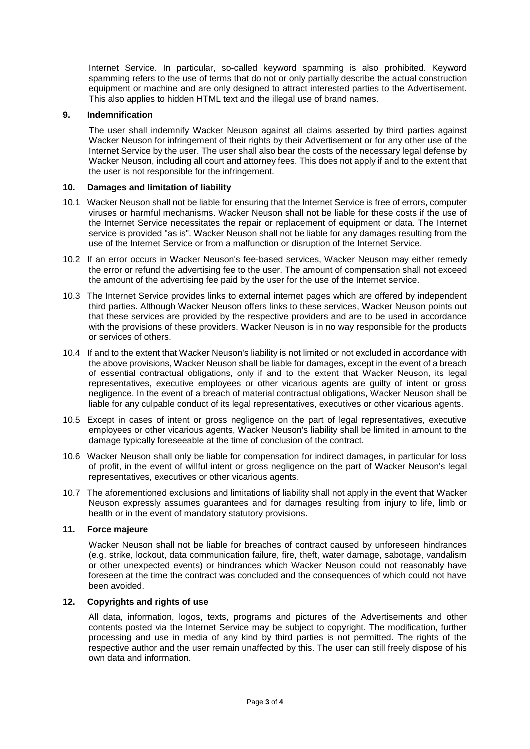Internet Service. In particular, so-called keyword spamming is also prohibited. Keyword spamming refers to the use of terms that do not or only partially describe the actual construction equipment or machine and are only designed to attract interested parties to the Advertisement. This also applies to hidden HTML text and the illegal use of brand names.

### **9. Indemnification**

The user shall indemnify Wacker Neuson against all claims asserted by third parties against Wacker Neuson for infringement of their rights by their Advertisement or for any other use of the Internet Service by the user. The user shall also bear the costs of the necessary legal defense by Wacker Neuson, including all court and attorney fees. This does not apply if and to the extent that the user is not responsible for the infringement.

### **10. Damages and limitation of liability**

- 10.1 Wacker Neuson shall not be liable for ensuring that the Internet Service is free of errors, computer viruses or harmful mechanisms. Wacker Neuson shall not be liable for these costs if the use of the Internet Service necessitates the repair or replacement of equipment or data. The Internet service is provided "as is". Wacker Neuson shall not be liable for any damages resulting from the use of the Internet Service or from a malfunction or disruption of the Internet Service.
- 10.2 If an error occurs in Wacker Neuson's fee-based services, Wacker Neuson may either remedy the error or refund the advertising fee to the user. The amount of compensation shall not exceed the amount of the advertising fee paid by the user for the use of the Internet service.
- 10.3 The Internet Service provides links to external internet pages which are offered by independent third parties. Although Wacker Neuson offers links to these services, Wacker Neuson points out that these services are provided by the respective providers and are to be used in accordance with the provisions of these providers. Wacker Neuson is in no way responsible for the products or services of others.
- 10.4 If and to the extent that Wacker Neuson's liability is not limited or not excluded in accordance with the above provisions, Wacker Neuson shall be liable for damages, except in the event of a breach of essential contractual obligations, only if and to the extent that Wacker Neuson, its legal representatives, executive employees or other vicarious agents are guilty of intent or gross negligence. In the event of a breach of material contractual obligations, Wacker Neuson shall be liable for any culpable conduct of its legal representatives, executives or other vicarious agents.
- 10.5 Except in cases of intent or gross negligence on the part of legal representatives, executive employees or other vicarious agents, Wacker Neuson's liability shall be limited in amount to the damage typically foreseeable at the time of conclusion of the contract.
- 10.6 Wacker Neuson shall only be liable for compensation for indirect damages, in particular for loss of profit, in the event of willful intent or gross negligence on the part of Wacker Neuson's legal representatives, executives or other vicarious agents.
- 10.7 The aforementioned exclusions and limitations of liability shall not apply in the event that Wacker Neuson expressly assumes guarantees and for damages resulting from injury to life, limb or health or in the event of mandatory statutory provisions.

### **11. Force majeure**

Wacker Neuson shall not be liable for breaches of contract caused by unforeseen hindrances (e.g. strike, lockout, data communication failure, fire, theft, water damage, sabotage, vandalism or other unexpected events) or hindrances which Wacker Neuson could not reasonably have foreseen at the time the contract was concluded and the consequences of which could not have been avoided.

### **12. Copyrights and rights of use**

All data, information, logos, texts, programs and pictures of the Advertisements and other contents posted via the Internet Service may be subject to copyright. The modification, further processing and use in media of any kind by third parties is not permitted. The rights of the respective author and the user remain unaffected by this. The user can still freely dispose of his own data and information.